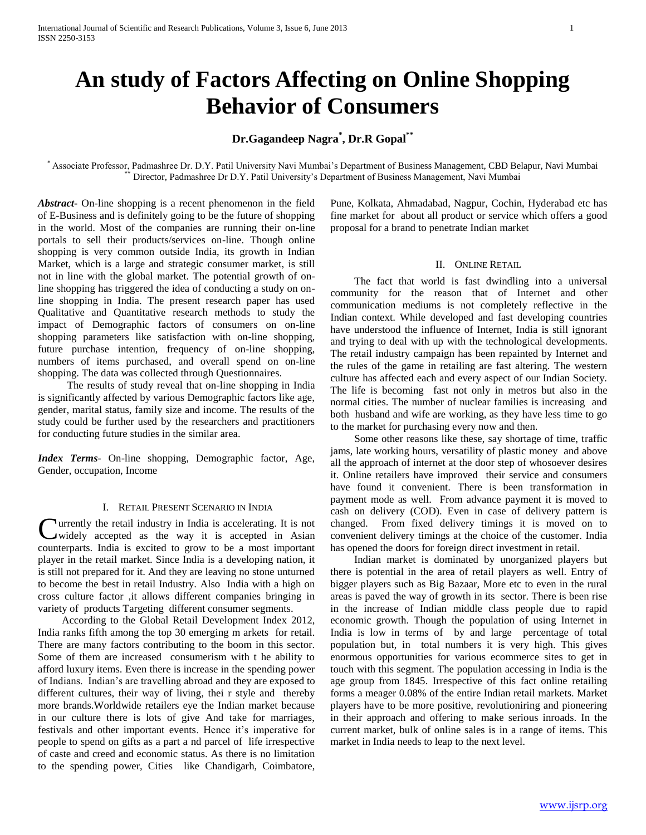# **An study of Factors Affecting on Online Shopping Behavior of Consumers**

## **Dr.Gagandeep Nagra\* , Dr.R Gopal\*\***

\* Associate Professor, Padmashree Dr. D.Y. Patil University Navi Mumbai's Department of Business Management, CBD Belapur, Navi Mumbai Director, Padmashree Dr D.Y. Patil University's Department of Business Management, Navi Mumbai

*Abstract***-** On-line shopping is a recent phenomenon in the field of E-Business and is definitely going to be the future of shopping in the world. Most of the companies are running their on-line portals to sell their products/services on-line. Though online shopping is very common outside India, its growth in Indian Market, which is a large and strategic consumer market, is still not in line with the global market. The potential growth of online shopping has triggered the idea of conducting a study on online shopping in India. The present research paper has used Qualitative and Quantitative research methods to study the impact of Demographic factors of consumers on on-line shopping parameters like satisfaction with on-line shopping, future purchase intention, frequency of on-line shopping, numbers of items purchased, and overall spend on on-line shopping. The data was collected through Questionnaires.

 The results of study reveal that on-line shopping in India is significantly affected by various Demographic factors like age, gender, marital status, family size and income. The results of the study could be further used by the researchers and practitioners for conducting future studies in the similar area.

*Index Terms*- On-line shopping, Demographic factor, Age, Gender, occupation, Income

## I. RETAIL PRESENT SCENARIO IN INDIA

urrently the retail industry in India is accelerating. It is not Currently the retail industry in India is accelerating. It is not widely accepted as the way it is accepted in Asian counterparts. India is excited to grow to be a most important player in the retail market. Since India is a developing nation, it is still not prepared for it. And they are leaving no stone unturned to become the best in retail Industry. Also India with a high on cross culture factor ,it allows different companies bringing in variety of products Targeting different consumer segments.

 According to the Global Retail Development Index 2012, India ranks fifth among the top 30 emerging m arkets for retail. There are many factors contributing to the boom in this sector. Some of them are increased consumerism with t he ability to afford luxury items. Even there is increase in the spending power of Indians. Indian's are travelling abroad and they are exposed to different cultures, their way of living, thei r style and thereby more brands.Worldwide retailers eye the Indian market because in our culture there is lots of give And take for marriages, festivals and other important events. Hence it's imperative for people to spend on gifts as a part a nd parcel of life irrespective of caste and creed and economic status. As there is no limitation to the spending power, Cities like Chandigarh, Coimbatore, Pune, Kolkata, Ahmadabad, Nagpur, Cochin, Hyderabad etc has fine market for about all product or service which offers a good proposal for a brand to penetrate Indian market

#### II. ONLINE RETAIL

 The fact that world is fast dwindling into a universal community for the reason that of Internet and other communication mediums is not completely reflective in the Indian context. While developed and fast developing countries have understood the influence of Internet, India is still ignorant and trying to deal with up with the technological developments. The retail industry campaign has been repainted by Internet and the rules of the game in retailing are fast altering. The western culture has affected each and every aspect of our Indian Society. The life is becoming fast not only in metros but also in the normal cities. The number of nuclear families is increasing and both husband and wife are working, as they have less time to go to the market for purchasing every now and then.

 Some other reasons like these, say shortage of time, traffic jams, late working hours, versatility of plastic money and above all the approach of internet at the door step of whosoever desires it. Online retailers have improved their service and consumers have found it convenient. There is been transformation in payment mode as well. From advance payment it is moved to cash on delivery (COD). Even in case of delivery pattern is changed. From fixed delivery timings it is moved on to convenient delivery timings at the choice of the customer. India has opened the doors for foreign direct investment in retail.

 Indian market is dominated by unorganized players but there is potential in the area of retail players as well. Entry of bigger players such as Big Bazaar, More etc to even in the rural areas is paved the way of growth in its sector. There is been rise in the increase of Indian middle class people due to rapid economic growth. Though the population of using Internet in India is low in terms of by and large percentage of total population but, in total numbers it is very high. This gives enormous opportunities for various ecommerce sites to get in touch with this segment. The population accessing in India is the age group from 1845. Irrespective of this fact online retailing forms a meager 0.08% of the entire Indian retail markets. Market players have to be more positive, revolutioniring and pioneering in their approach and offering to make serious inroads. In the current market, bulk of online sales is in a range of items. This market in India needs to leap to the next level.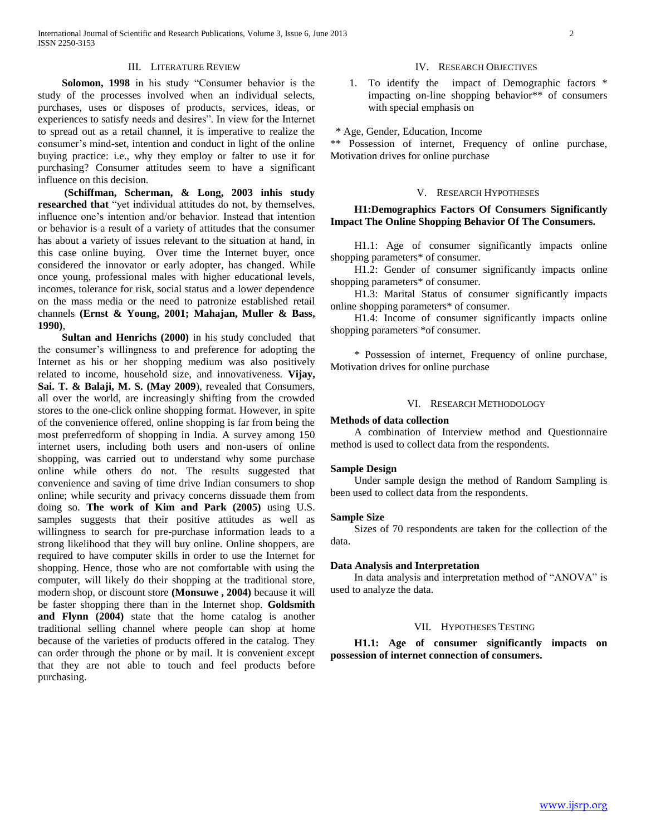#### III. LITERATURE REVIEW

 **Solomon, 1998** in his study "Consumer behavior is the study of the processes involved when an individual selects, purchases, uses or disposes of products, services, ideas, or experiences to satisfy needs and desires". In view for the Internet to spread out as a retail channel, it is imperative to realize the consumer's mind-set, intention and conduct in light of the online buying practice: i.e., why they employ or falter to use it for purchasing? Consumer attitudes seem to have a significant influence on this decision.

 **(Schiffman, Scherman, & Long, 2003 inhis study researched that** "yet individual attitudes do not, by themselves, influence one's intention and/or behavior. Instead that intention or behavior is a result of a variety of attitudes that the consumer has about a variety of issues relevant to the situation at hand, in this case online buying. Over time the Internet buyer, once considered the innovator or early adopter, has changed. While once young, professional males with higher educational levels, incomes, tolerance for risk, social status and a lower dependence on the mass media or the need to patronize established retail channels **(Ernst & Young, 2001; Mahajan, Muller & Bass, 1990)**,

 **Sultan and Henrichs (2000)** in his study concluded that the consumer's willingness to and preference for adopting the Internet as his or her shopping medium was also positively related to income, household size, and innovativeness. **Vijay, Sai. T. & Balaji, M. S. (May 2009**), revealed that Consumers, all over the world, are increasingly shifting from the crowded stores to the one-click online shopping format. However, in spite of the convenience offered, online shopping is far from being the most preferredform of shopping in India. A survey among 150 internet users, including both users and non-users of online shopping, was carried out to understand why some purchase online while others do not. The results suggested that convenience and saving of time drive Indian consumers to shop online; while security and privacy concerns dissuade them from doing so. **The work of Kim and Park (2005)** using U.S. samples suggests that their positive attitudes as well as willingness to search for pre-purchase information leads to a strong likelihood that they will buy online. Online shoppers, are required to have computer skills in order to use the Internet for shopping. Hence, those who are not comfortable with using the computer, will likely do their shopping at the traditional store, modern shop, or discount store **(Monsuwe , 2004)** because it will be faster shopping there than in the Internet shop. **Goldsmith and Flynn (2004)** state that the home catalog is another traditional selling channel where people can shop at home because of the varieties of products offered in the catalog. They can order through the phone or by mail. It is convenient except that they are not able to touch and feel products before purchasing.

#### IV. RESEARCH OBJECTIVES

1. To identify the impact of Demographic factors \* impacting on-line shopping behavior\*\* of consumers with special emphasis on

\* Age, Gender, Education, Income

\*\* Possession of internet, Frequency of online purchase, Motivation drives for online purchase

#### V. RESEARCH HYPOTHESES

## **H1:Demographics Factors Of Consumers Significantly Impact The Online Shopping Behavior Of The Consumers.**

 H1.1: Age of consumer significantly impacts online shopping parameters\* of consumer.

 H1.2: Gender of consumer significantly impacts online shopping parameters\* of consumer.

 H1.3: Marital Status of consumer significantly impacts online shopping parameters\* of consumer.

 H1.4: Income of consumer significantly impacts online shopping parameters \*of consumer.

 \* Possession of internet, Frequency of online purchase, Motivation drives for online purchase

#### VI. RESEARCH METHODOLOGY

#### **Methods of data collection**

 A combination of Interview method and Questionnaire method is used to collect data from the respondents.

#### **Sample Design**

 Under sample design the method of Random Sampling is been used to collect data from the respondents.

#### **Sample Size**

 Sizes of 70 respondents are taken for the collection of the data.

#### **Data Analysis and Interpretation**

 In data analysis and interpretation method of "ANOVA" is used to analyze the data.

#### VII. HYPOTHESES TESTING

 **H1.1: Age of consumer significantly impacts on possession of internet connection of consumers.**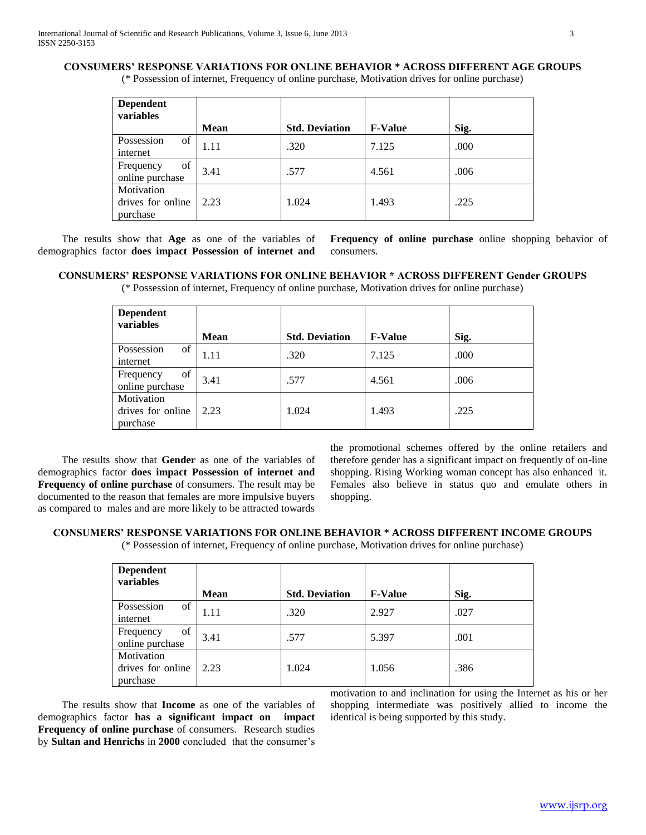## **CONSUMERS' RESPONSE VARIATIONS FOR ONLINE BEHAVIOR \* ACROSS DIFFERENT AGE GROUPS**

(\* Possession of internet, Frequency of online purchase, Motivation drives for online purchase)

| <b>Dependent</b><br>variables               |      |                       |                |      |
|---------------------------------------------|------|-----------------------|----------------|------|
|                                             | Mean | <b>Std. Deviation</b> | <b>F-Value</b> | Sig. |
| of<br>Possession<br>internet                | 1.11 | .320                  | 7.125          | .000 |
| of<br>Frequency<br>online purchase          | 3.41 | .577                  | 4.561          | .006 |
| Motivation<br>drives for online<br>purchase | 2.23 | 1.024                 | 1.493          | .225 |

 The results show that **Age** as one of the variables of demographics factor **does impact Possession of internet and** 

**Frequency of online purchase** online shopping behavior of consumers.

### **CONSUMERS' RESPONSE VARIATIONS FOR ONLINE BEHAVIOR \* ACROSS DIFFERENT Gender GROUPS**

(\* Possession of internet, Frequency of online purchase, Motivation drives for online purchase)

| <b>Dependent</b><br>variables |      |                       |                |      |
|-------------------------------|------|-----------------------|----------------|------|
|                               | Mean | <b>Std. Deviation</b> | <b>F-Value</b> | Sig. |
| Possession<br>of              | 1.11 | .320                  | 7.125          | .000 |
| internet                      |      |                       |                |      |
| of<br>Frequency               | 3.41 | .577                  | 4.561          | .006 |
| online purchase               |      |                       |                |      |
| Motivation                    |      |                       |                |      |
| drives for online             | 2.23 | 1.024                 | 1.493          | .225 |
| purchase                      |      |                       |                |      |

 The results show that **Gender** as one of the variables of demographics factor **does impact Possession of internet and Frequency of online purchase** of consumers. The result may be documented to the reason that females are more impulsive buyers as compared to males and are more likely to be attracted towards

the promotional schemes offered by the online retailers and therefore gender has a significant impact on frequently of on-line shopping. Rising Working woman concept has also enhanced it. Females also believe in status quo and emulate others in shopping.

## **CONSUMERS' RESPONSE VARIATIONS FOR ONLINE BEHAVIOR \* ACROSS DIFFERENT INCOME GROUPS**

(\* Possession of internet, Frequency of online purchase, Motivation drives for online purchase)

| <b>Dependent</b><br>variables               | <b>Mean</b> | <b>Std. Deviation</b> | <b>F-Value</b> | Sig. |
|---------------------------------------------|-------------|-----------------------|----------------|------|
| Possession<br>of<br>internet                | 1.11        | .320                  | 2.927          | .027 |
| of<br>Frequency<br>online purchase          | 3.41        | .577                  | 5.397          | .001 |
| Motivation<br>drives for online<br>purchase | 2.23        | 1.024                 | 1.056          | .386 |

 The results show that **Income** as one of the variables of demographics factor **has a significant impact on impact Frequency of online purchase** of consumers. Research studies by **Sultan and Henrichs** in **2000** concluded that the consumer's motivation to and inclination for using the Internet as his or her shopping intermediate was positively allied to income the identical is being supported by this study.